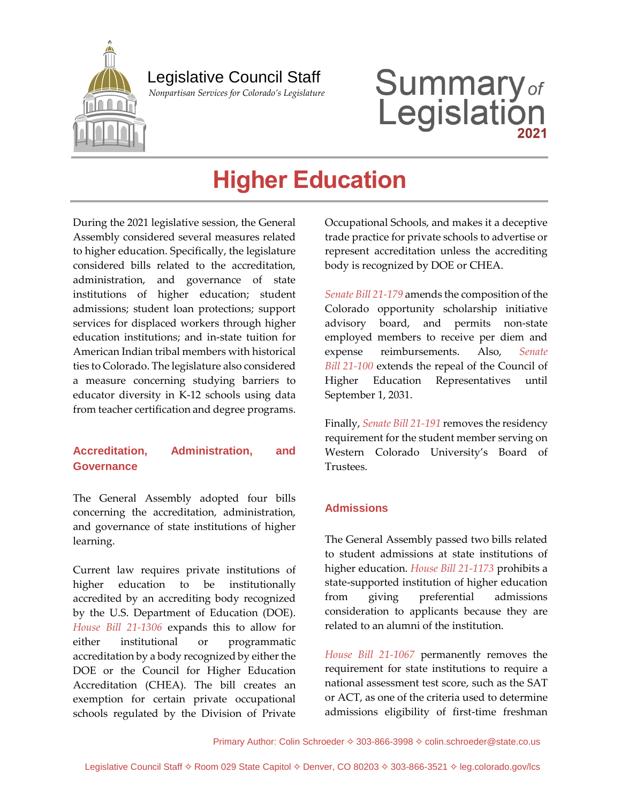

## Legislative Council Staff

 *Nonpartisan Services for Colorado's Legislature*

# **Summary**<sub>of</sub><br>Legislation

# **Higher Education**

During the 2021 legislative session, the General Assembly considered several measures related to higher education. Specifically, the legislature considered bills related to the accreditation, administration, and governance of state institutions of higher education; student admissions; student loan protections; support services for displaced workers through higher education institutions; and in-state tuition for American Indian tribal members with historical ties to Colorado. The legislature also considered a measure concerning studying barriers to educator diversity in K-12 schools using data from teacher certification and degree programs.

#### **Accreditation, Administration, and Governance**

The General Assembly adopted four bills concerning the accreditation, administration, and governance of state institutions of higher learning.

Current law requires private institutions of higher education to be institutionally accredited by an accrediting body recognized by the U.S. Department of Education (DOE). *[House Bill 21-1306](https://leg.colorado.gov/bills/hb21-1306)* expands this to allow for either institutional or programmatic accreditation by a body recognized by either the DOE or the Council for Higher Education Accreditation (CHEA). The bill creates an exemption for certain private occupational schools regulated by the Division of Private

Occupational Schools, and makes it a deceptive trade practice for private schools to advertise or represent accreditation unless the accrediting body is recognized by DOE or CHEA.

*[Senate Bill 21-179](https://leg.colorado.gov/bills/sb21-179)* amends the composition of the Colorado opportunity scholarship initiative advisory board, and permits non-state employed members to receive per diem and expense reimbursements. Also, *[Senate](https://leg.colorado.gov/bills/sb21-100) Bill [21-100](https://leg.colorado.gov/bills/sb21-100)* extends the repeal of the Council of Higher Education Representatives until September 1, 2031.

Finally, *[Senate Bill 21-191](https://leg.colorado.gov/bills/sb21-191)* removes the residency requirement for the student member serving on Western Colorado University's Board of Trustees.

#### **Admissions**

The General Assembly passed two bills related to student admissions at state institutions of higher education. *[House Bill 21-1173](https://leg.colorado.gov/bills/hb21-1173)* prohibits a state-supported institution of higher education from giving preferential admissions consideration to applicants because they are related to an alumni of the institution.

*[House Bill 21-1067](https://leg.colorado.gov/bills/hb21-1067)* permanently removes the requirement for state institutions to require a national assessment test score, such as the SAT or ACT, as one of the criteria used to determine admissions eligibility of first-time freshman